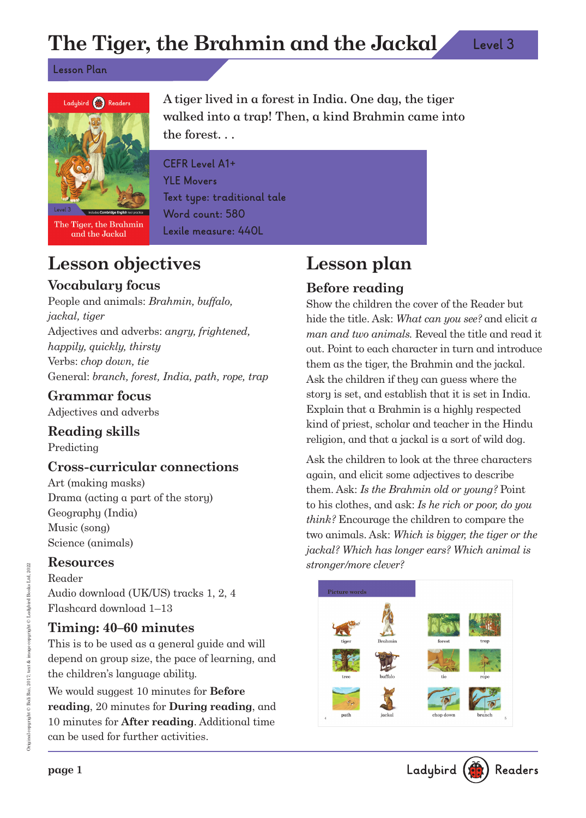# **The Tiger, the Brahmin and the Jackal**

**Lesson Plan**



The Tiger, the Brahmin and the Jackal

A tiger lived in a forest in India. One day, the tiger walked into a trap! Then, a kind Brahmin came into the forest. . .

**CEFR Level A1+ YLE Movers Text type: traditional tale Word count: 580 Lexile measure: 440L**

# **Lesson objectives**

## **Vocabulary focus**

People and animals: Brahmin, buffalo, jackal, tiger Adjectives and adverbs: angry, frightened, happily, quickly, thirsty Verbs: chop down, tie General: branch, forest, India, path, rope, trap

### **Grammar focus**

Adjectives and adverbs

## **Reading skills**

Predicting

## **Cross-curricular connections**

Art (making masks) Drama (acting a part of the story) Geography (India) Music (song) Science (animals)

### **Resources**

Reader Audio download (UK/US) tracks 1, 2, 4 Flashcard download 1–13

## **Timing: 40–60 minutes**

This is to be used as a general guide and will depend on group size, the pace of learning, and the children's language ability.

We would suggest 10 minutes for **Before reading**, 20 minutes for **During reading**, and 10 minutes for **After reading**. Additional time can be used for further activities.

# **Lesson plan**

## **Before reading**

Show the children the cover of the Reader but hide the title. Ask: What can you see? and elicit a man and two animals. Reveal the title and read it out. Point to each character in turn and introduce them as the tiger, the Brahmin and the jackal. Ask the children if they can guess where the story is set, and establish that it is set in India. Explain that a Brahmin is a highly respected kind of priest, scholar and teacher in the Hindu religion, and that a jackal is a sort of wild dog.

Ask the children to look at the three characters again, and elicit some adjectives to describe them. Ask: Is the Brahmin old or young? Point to his clothes, and ask: Is he rich or poor, do you think? Encourage the children to compare the two animals. Ask: Which is bigger, the tiger or the jackal? Which has longer ears? Which animal is stronger/more clever?